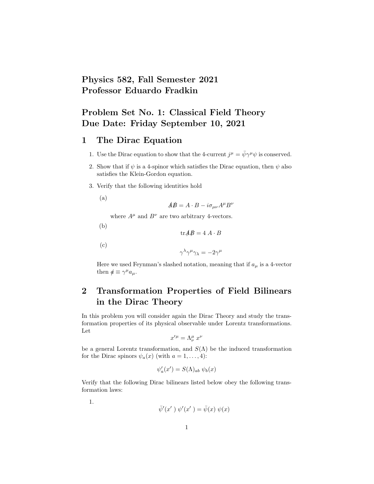## Physics 582, Fall Semester 2021 Professor Eduardo Fradkin

## Problem Set No. 1: Classical Field Theory Due Date: Friday September 10, 2021

#### 1 The Dirac Equation

- 1. Use the Dirac equation to show that the 4-current  $j^{\mu} = \bar{\psi} \gamma^{\mu} \psi$  is conserved.
- 2. Show that if  $\psi$  is a 4-spinor which satisfies the Dirac equation, then  $\psi$  also satisfies the Klein-Gordon equation.
- 3. Verify that the following identities hold

(a)

$$
\mathbf{A}\mathbf{B} = A \cdot B - i\sigma_{\mu\nu}A^{\mu}B^{\nu}
$$

where  $A^{\mu}$  and  $B^{\nu}$  are two arbitrary 4-vectors.

(b)

$$
\operatorname{tr} \mathbf{A} \mathbf{B} = 4 A \cdot B
$$

(c)

$$
\gamma^\lambda\gamma^\mu\gamma_\lambda=-2\gamma^\mu
$$

Here we used Feynman's slashed notation, meaning that if  $a_{\mu}$  is a 4-vector then  $\phi \equiv \gamma^{\mu} a_{\mu}$ .

# 2 Transformation Properties of Field Bilinears in the Dirac Theory

In this problem you will consider again the Dirac Theory and study the transformation properties of its physical observable under Lorentz transformations. Let

$$
x^{\prime \mu} = \Lambda^{\mu}_{\nu} \; x^{\nu}
$$

be a general Lorentz transformation, and  $S(\Lambda)$  be the induced transformation for the Dirac spinors  $\psi_a(x)$  (with  $a = 1, \ldots, 4$ ):

$$
\psi_a'(x') = S(\Lambda)_{ab} \psi_b(x)
$$

Verify that the following Dirac bilinears listed below obey the following transformation laws:

1.

$$
\bar{\psi}'(x')\; \psi'(x') = \bar{\psi}(x)\; \psi(x)
$$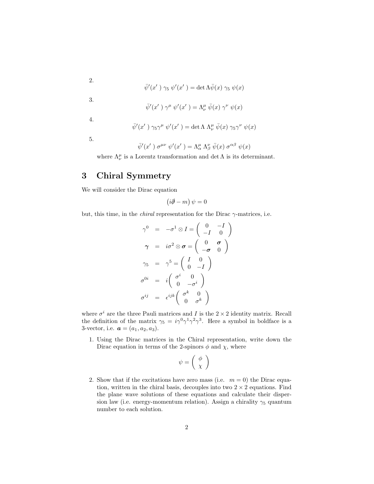$$
\bar\psi'(x')\;\gamma_5\; \psi'(x')=\det \Lambda\bar\psi(x)\;\gamma_5\; \psi(x)
$$

$$
\bar{\psi}'(x')\; \gamma^{\mu} \; \psi'(x') = \Lambda^{\mu}_{\nu} \; \bar{\psi}(x) \; \gamma^{\nu} \; \psi(x)
$$

4.

3.

2.

$$
\bar{\psi}'(x')\;\gamma_5\gamma^{\mu}\;\psi'(x')=\det\Lambda\;\Lambda^{\mu}_{\nu}\;\bar{\psi}(x)\;\gamma_5\gamma^{\nu}\;\psi(x)
$$

5.

$$
\bar{\psi}'(x') \sigma^{\mu\nu} \psi'(x') = \Lambda^{\mu}_{\alpha} \Lambda^{\nu}_{\beta} \bar{\psi}(x) \sigma^{\alpha\beta} \psi(x)
$$

where  $\Lambda^{\mu}_{\nu}$  is a Lorentz transformation and  $\det\Lambda$  is its determinant.

### 3 Chiral Symmetry

We will consider the Dirac equation

$$
(i\partial\!\!\!/-m)\,\psi=0
$$

but, this time, in the *chiral* representation for the Dirac  $\gamma$ -matrices, i.e.

$$
\gamma^0 = -\sigma^1 \otimes I = \begin{pmatrix} 0 & -I \\ -I & 0 \end{pmatrix}
$$

$$
\gamma = i\sigma^2 \otimes \sigma = \begin{pmatrix} 0 & \sigma \\ -\sigma & 0 \end{pmatrix}
$$

$$
\gamma_5 = \gamma^5 = \begin{pmatrix} I & 0 \\ 0 & -I \end{pmatrix}
$$

$$
\sigma^{0i} = i \begin{pmatrix} \sigma^i & 0 \\ 0 & -\sigma^i \end{pmatrix}
$$

$$
\sigma^{ij} = \epsilon^{ijk} \begin{pmatrix} \sigma^k & 0 \\ 0 & \sigma^k \end{pmatrix}
$$

where  $\sigma^i$  are the three Pauli matrices and I is the  $2 \times 2$  identity matrix. Recall the definition of the matrix  $\gamma_5 = i \gamma^0 \gamma^1 \gamma^2 \gamma^3$ . Here a symbol in boldface is a 3-vector, i.e.  $a = (a_1, a_2, a_3)$ .

1. Using the Dirac matrices in the Chiral representation, write down the Dirac equation in terms of the 2-spinors  $\phi$  and  $\chi$ , where

$$
\psi = \left(\begin{array}{c} \phi \\ \chi \end{array}\right)
$$

2. Show that if the excitations have zero mass (i.e.  $m = 0$ ) the Dirac equation, written in the chiral basis, decouples into two  $2 \times 2$  equations. Find the plane wave solutions of these equations and calculate their dispersion law (i.e. energy-momentum relation). Assign a chirality  $\gamma_5$  quantum number to each solution.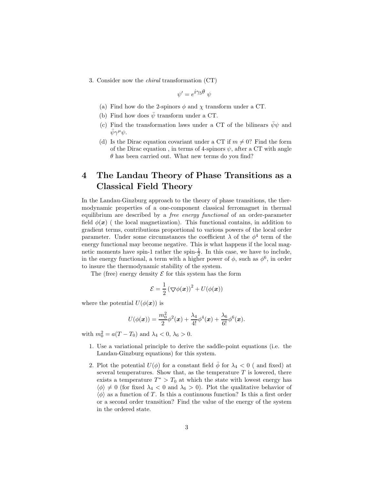3. Consider now the chiral transformation (CT)

$$
\psi'=e^{i\gamma_5\theta}\;\psi
$$

- (a) Find how do the 2-spinors  $\phi$  and  $\chi$  transform under a CT.
- (b) Find how does  $\bar{\psi}$  transform under a CT.
- (c) Find the transformation laws under a CT of the bilinears  $\bar{\psi}\psi$  and  $\bar{\psi}\gamma^{\mu}\psi.$
- (d) Is the Dirac equation covariant under a CT if  $m \neq 0$ ? Find the form of the Dirac equation, in terms of 4-spinors  $\psi$ , after a CT with angle  $\theta$  has been carried out. What new terms do you find?

## 4 The Landau Theory of Phase Transitions as a Classical Field Theory

In the Landau-Ginzburg approach to the theory of phase transitions, the thermodynamic properties of a one-component classical ferromagnet in thermal equilibrium are described by a free energy functional of an order-parameter field  $\phi(\mathbf{x})$  ( the local magnetization). This functional contains, in addition to gradient terms, contributions proportional to various powers of the local order parameter. Under some circumstances the coefficient  $\lambda$  of the  $\phi^4$  term of the energy functional may become negative. This is what happens if the local magnetic moments have spin-1 rather the spin- $\frac{1}{2}$ . In this case, we have to include, in the energy functional, a term with a higher power of  $\phi$ , such as  $\phi^6$ , in order to insure the thermodynamic stability of the system.

The (free) energy density  $\mathcal E$  for this system has the form

$$
\mathcal{E} = \frac{1}{2} \left( \nabla \phi(\boldsymbol{x}) \right)^2 + U(\phi(\boldsymbol{x}))
$$

where the potential  $U(\phi(\boldsymbol{x}))$  is

$$
U(\phi(\pmb{x})) = \frac{m_0^2}{2}\phi^2(\pmb{x}) + \frac{\lambda_4}{4!}\phi^4(\pmb{x}) + \frac{\lambda_6}{6!}\phi^6(\pmb{x}).
$$

with  $m_0^2 = a(T - T_0)$  and  $\lambda_4 < 0, \lambda_6 > 0$ .

- 1. Use a variational principle to derive the saddle-point equations (i.e. the Landau-Ginzburg equations) for this system.
- 2. Plot the potential  $U(\phi)$  for a constant field  $\overline{\phi}$  for  $\lambda_4 < 0$  ( and fixed) at several temperatures. Show that, as the temperature  $T$  is lowered, there exists a temperature  $T^* > T_0$  at which the state with lowest energy has  $\langle \phi \rangle \neq 0$  (for fixed  $\lambda_4 < 0$  and  $\lambda_6 > 0$ ). Plot the qualitative behavior of  $\langle \phi \rangle$  as a function of T. Is this a continuous function? Is this a first order or a second order transition? Find the value of the energy of the system in the ordered state.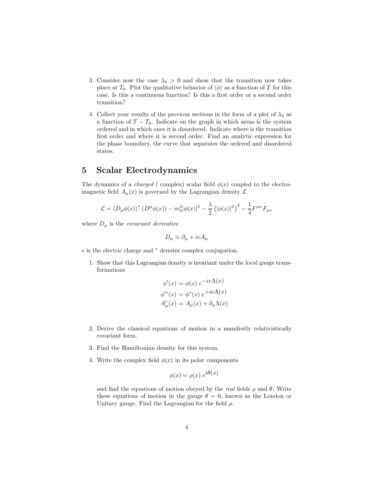- 3. Consider now the case  $\lambda_4 > 0$  and show that the transition now takes place at  $T_0$ . Plot the qualitative behavior of  $\langle \phi \rangle$  as a function of T for this case. Is this a continuous function? Is this a first order or a second order transition?
- 4. Collect your results of the previous sections in the form of a plot of  $\lambda_4$  as a function of  $T - T_0$ . Indicate on the graph in which areas is the system ordered and in which ones it is disordered. Indicate where is the transition first order and where it is second order. Find an analytic expression for the phase boundary, the curve that separates the ordered and disordered states.

#### 5 Scalar Electrodynamics

The dynamics of a *charged* ( complex) scalar field  $\phi(x)$  coupled to the electromagnetic field  $A_{\mu}(x)$  is governed by the Lagrangian density  $\mathcal{L}$ 

$$
\mathcal{L} = (D_{\mu}\phi(x))^{*} (D^{\mu}\phi(x)) - m_{0}^{2}|\phi(x)|^{2} - \frac{\lambda}{2} (|\phi(x)|^{2})^{2} - \frac{1}{4}F^{\mu\nu}F_{\mu\nu}
$$

where  $D_{\mu}$  is the *covariant derivative* 

$$
D_{\mu} \equiv \partial_{\mu} + ieA_{\mu}
$$

e is the electric charge and <sup>∗</sup> denotes complex conjugation.

1. Show that this Lagrangian density is invariant under the local gauge transformations

$$
\phi'(x) = \phi(x) e^{-ie\Lambda(x)}
$$

$$
\phi'^*(x) = \phi^*(x) e^{+ie\Lambda(x)}
$$

$$
A'_{\mu}(x) = A_{\mu}(x) + \partial_{\mu}\Lambda(x)
$$

- 2. Derive the classical equations of motion in a manifestly relativistically covariant form.
- 3. Find the Hamiltonian density for this system.
- 4. Write the complex field  $\phi(x)$  in its polar components

$$
\phi(x) = \rho(x) e^{i\theta(x)}
$$

and find the equations of motion obeyed by the real fields  $\rho$  and  $\theta$ . Write these equations of motion in the gauge  $\theta = 0$ , known as the London or Unitary gauge. Find the Lagrangian for the field  $\rho$ .